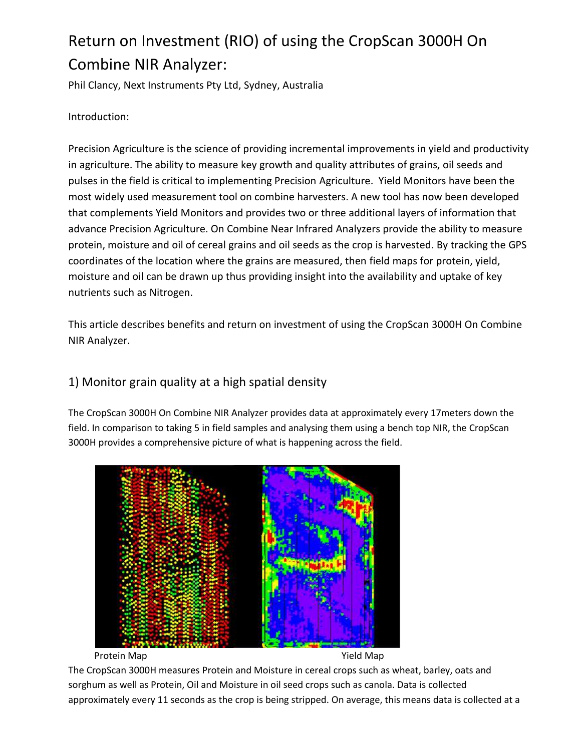# Return on Investment (RIO) of using the CropScan 3000H On Combine NIR Analyzer:

Phil Clancy, Next Instruments Pty Ltd, Sydney, Australia

Introduction:

Precision Agriculture is the science of providing incremental improvements in yield and productivity in agriculture. The ability to measure key growth and quality attributes of grains, oil seeds and pulses in the field is critical to implementing Precision Agriculture. Yield Monitors have been the most widely used measurement tool on combine harvesters. A new tool has now been developed that complements Yield Monitors and provides two or three additional layers of information that advance Precision Agriculture. On Combine Near Infrared Analyzers provide the ability to measure protein, moisture and oil of cereal grains and oil seeds as the crop is harvested. By tracking the GPS coordinates of the location where the grains are measured, then field maps for protein, yield, moisture and oil can be drawn up thus providing insight into the availability and uptake of key nutrients such as Nitrogen.

This article describes benefits and return on investment of using the CropScan 3000H On Combine NIR Analyzer.

## 1) Monitor grain quality at a high spatial density

The CropScan 3000H On Combine NIR Analyzer provides data at approximately every 17meters down the field. In comparison to taking 5 in field samples and analysing them using a bench top NIR, the CropScan 3000H provides a comprehensive picture of what is happening across the field.



Protein Map **National Community Community** Protein Map

The CropScan 3000H measures Protein and Moisture in cereal crops such as wheat, barley, oats and sorghum as well as Protein, Oil and Moisture in oil seed crops such as canola. Data is collected approximately every 11 seconds as the crop is being stripped. On average, this means data is collected at a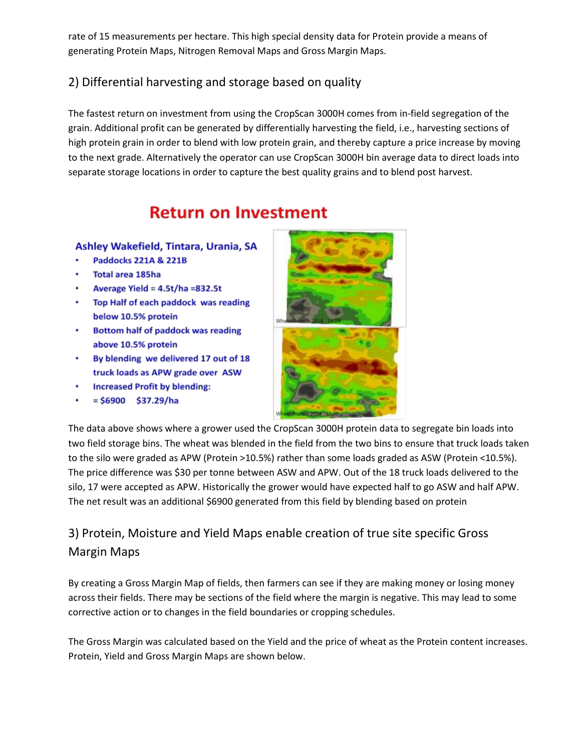rate of 15 measurements per hectare. This high special density data for Protein provide a means of generating Protein Maps, Nitrogen Removal Maps and Gross Margin Maps.

## 2) Differential harvesting and storage based on quality

The fastest return on investment from using the CropScan 3000H comes from in-field segregation of the grain. Additional profit can be generated by differentially harvesting the field, i.e., harvesting sections of high protein grain in order to blend with low protein grain, and thereby capture a price increase by moving to the next grade. Alternatively the operator can use CropScan 3000H bin average data to direct loads into separate storage locations in order to capture the best quality grains and to blend post harvest.

## **Return on Investment**

#### Ashley Wakefield, Tintara, Urania, SA

- Paddocks 221A & 221B
- Total area 185ha
- Average Yield = 4.5t/ha =832.5t
- Top Half of each paddock was reading below 10.5% protein
- Bottom half of paddock was reading above 10.5% protein
- By blending we delivered 17 out of 18 truck loads as APW grade over ASW
- **Increased Profit by blending:**
- $= $6900$  \$37.29/ha



The data above shows where a grower used the CropScan 3000H protein data to segregate bin loads into two field storage bins. The wheat was blended in the field from the two bins to ensure that truck loads taken to the silo were graded as APW (Protein >10.5%) rather than some loads graded as ASW (Protein <10.5%). The price difference was \$30 per tonne between ASW and APW. Out of the 18 truck loads delivered to the silo, 17 were accepted as APW. Historically the grower would have expected half to go ASW and half APW. The net result was an additional \$6900 generated from this field by blending based on protein

## 3) Protein, Moisture and Yield Maps enable creation of true site specific Gross Margin Maps

By creating a Gross Margin Map of fields, then farmers can see if they are making money or losing money across their fields. There may be sections of the field where the margin is negative. This may lead to some corrective action or to changes in the field boundaries or cropping schedules.

The Gross Margin was calculated based on the Yield and the price of wheat as the Protein content increases. Protein, Yield and Gross Margin Maps are shown below.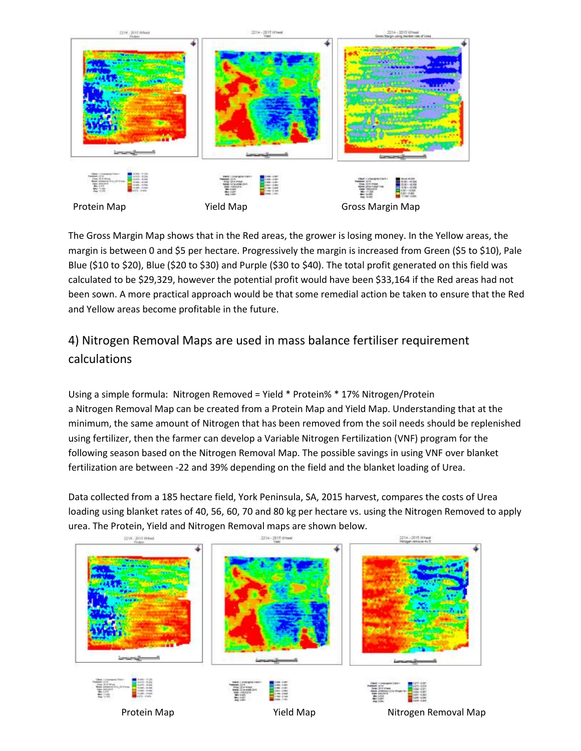

The Gross Margin Map shows that in the Red areas, the grower is losing money. In the Yellow areas, the margin is between 0 and \$5 per hectare. Progressively the margin is increased from Green (\$5 to \$10), Pale Blue (\$10 to \$20), Blue (\$20 to \$30) and Purple (\$30 to \$40). The total profit generated on this field was calculated to be \$29,329, however the potential profit would have been \$33,164 if the Red areas had not been sown. A more practical approach would be that some remedial action be taken to ensure that the Red and Yellow areas become profitable in the future.

## 4) Nitrogen Removal Maps are used in mass balance fertiliser requirement calculations

Using a simple formula: Nitrogen Removed = Yield \* Protein% \* 17% Nitrogen/Protein a Nitrogen Removal Map can be created from a Protein Map and Yield Map. Understanding that at the minimum, the same amount of Nitrogen that has been removed from the soil needs should be replenished using fertilizer, then the farmer can develop a Variable Nitrogen Fertilization (VNF) program for the following season based on the Nitrogen Removal Map. The possible savings in using VNF over blanket fertilization are between -22 and 39% depending on the field and the blanket loading of Urea.

Data collected from a 185 hectare field, York Peninsula, SA, 2015 harvest, compares the costs of Urea loading using blanket rates of 40, 56, 60, 70 and 80 kg per hectare vs. using the Nitrogen Removed to apply urea. The Protein, Yield and Nitrogen Removal maps are shown below.

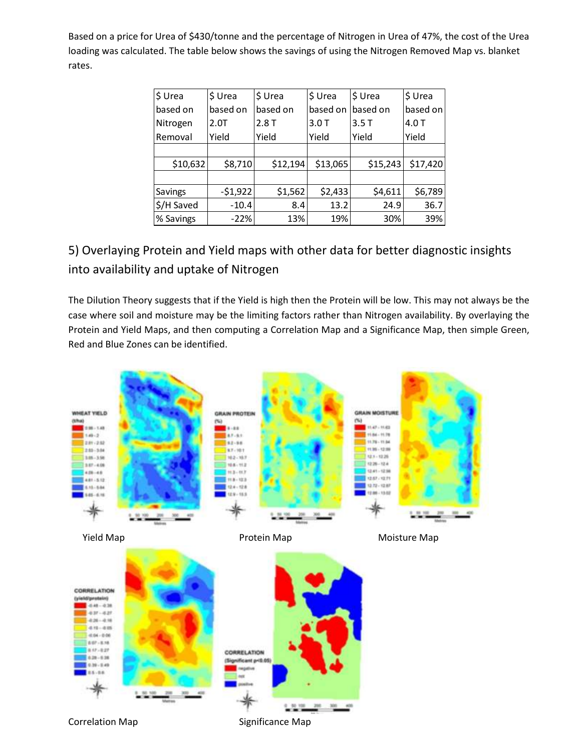Based on a price for Urea of \$430/tonne and the percentage of Nitrogen in Urea of 47%, the cost of the Urea loading was calculated. The table below shows the savings of using the Nitrogen Removed Map vs. blanket rates.

| \$ Urea    | \$ Urea   | \$ Urea  | \$ Urea  | \$ Urea  | \$ Urea  |
|------------|-----------|----------|----------|----------|----------|
| based on   | based on  | based on | based on | based on | based on |
| Nitrogen   | 2.0T      | 2.8T     | 3.0T     | 3.5T     | 4.0T     |
| Removal    | Yield     | Yield    | Yield    | Yield    | Yield    |
|            |           |          |          |          |          |
| \$10,632   | \$8,710   | \$12,194 | \$13,065 | \$15,243 | \$17,420 |
|            |           |          |          |          |          |
| Savings    | $-51,922$ | \$1,562  | \$2,433  | \$4,611  | \$6,789  |
| \$/H Saved | $-10.4$   | 8.4      | 13.2     | 24.9     | 36.7     |
| % Savings  | $-22%$    | 13%      | 19%      | 30%      | 39%      |

5) Overlaying Protein and Yield maps with other data for better diagnostic insights into availability and uptake of Nitrogen

The Dilution Theory suggests that if the Yield is high then the Protein will be low. This may not always be the case where soil and moisture may be the limiting factors rather than Nitrogen availability. By overlaying the Protein and Yield Maps, and then computing a Correlation Map and a Significance Map, then simple Green, Red and Blue Zones can be identified.